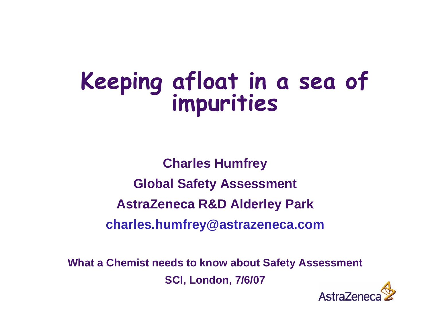# **Keeping afloat in a sea of impurities**

**Charles Humfrey Global Safety Assessment AstraZeneca R&D Alderley Park charles.humfrey@astrazeneca.com**

**What a Chemist needs to know about Safety Assessment SCI, London, 7/6/07**

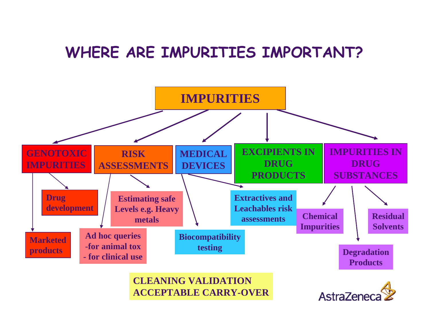#### **WHERE ARE IMPURITIES IMPORTANT?**



**CLEANING VALIDATIONACCEPTABLE CARRY-OVER**

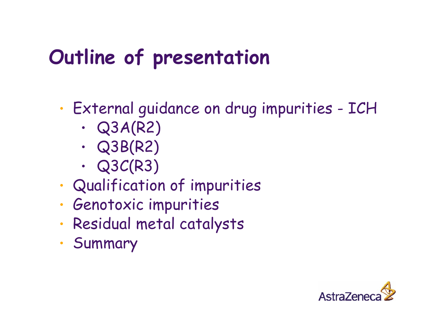# **Outline of presentation**

•External guidance on drug impurities - ICH

- •Q3A(R2)
- •Q3B(R2)
- •Q3C(R3)
- •Qualification of impurities
- •Genotoxic impurities
- •Residual metal catalysts
- •Summary

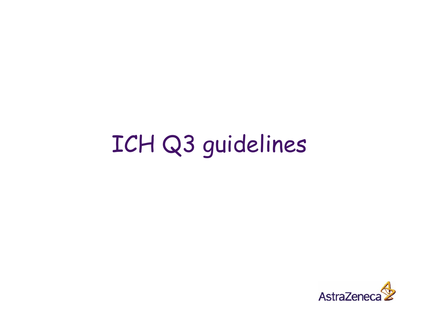# ICH Q3 guidelines

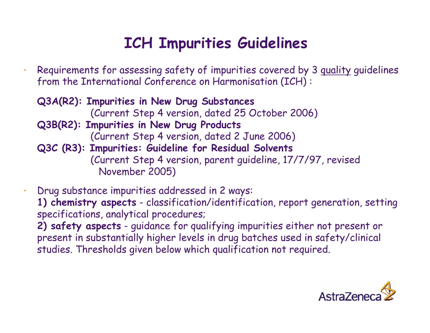## **ICH Impurities Guidelines**

- Requirements for assessing safety of impurities covered by 3 quality guidelines from the International Conference on Harmonisation (ICH) :
	- **Q3A(R2): Impurities in New Drug Substances** (Current Step 4 version, dated 25 October 2006) **Q3B(R2): Impurities in New Drug Products** (Current Step 4 version, dated 2 June 2006) **Q3C (R3): Impurities: Guideline for Residual Solvents** (Current Step 4 version, parent guideline, 17/7/97, revised November 2005)
- Drug substance impurities addressed in 2 ways: **1) chemistry aspects** - classification/identification, report generation, setting specifications, analytical procedures; **2) safety aspects** - guidance for qualifying impurities either not present or
	- present in substantially higher levels in drug batches used in safety/clinical studies. Thresholds given below which qualification not required.

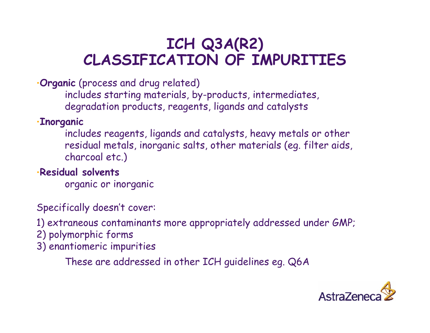#### **ICH Q3A(R2) CLASSIFICATION OF IMPURITIES**

•**Organic** (process and drug related)

includes starting materials, by-products, intermediates, degradation products, reagents, ligands and catalysts

#### •**Inorganic**

includes reagents, ligands and catalysts, heavy metals or other residual metals, inorganic salts, other materials (eg. filter aids, charcoal etc.)

#### •**Residual solvents**

organic or inorganic

#### Specifically doesn't cover:

1) extraneous contaminants more appropriately addressed under GMP;

- 2) polymorphic forms
- 3) enantiomeric impurities

These are addressed in other ICH guidelines eg. Q6A

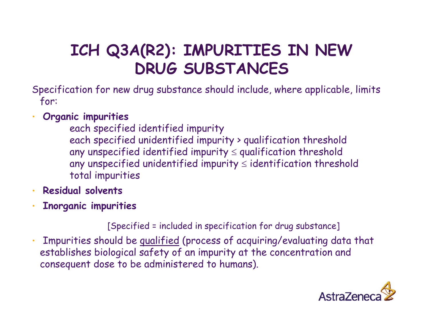## **ICH Q3A(R2): IMPURITIES IN NEW DRUG SUBSTANCES**

- Specification for new drug substance should include, where applicable, limits for:
- **Organic impurities**
	- each specified identified impurity each specified unidentified impurity > qualification threshold any unspecified identified impurity  $\leq$  qualification threshold any unspecified unidentified impurity  $\leq$  identification threshold total impurities
- **Residual solvents**
- **Inorganic impurities**

[Specified = included in specification for drug substance]

• Impurities should be qualified (process of acquiring/evaluating data that establishes biological safety of an impurity at the concentration and consequent dose to be administered to humans).

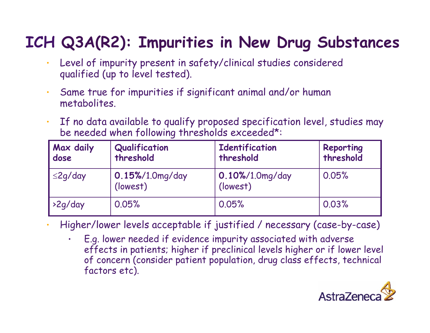## **ICH Q3A(R2): Impurities in New Drug Substances**

- Level of impurity present in safety/clinical studies considered qualified (up to level tested).
- • Same true for impurities if significant animal and/or human metabolites.
- • If no data available to qualify proposed specification level, studies may be needed when following thresholds exceeded\*:

| Max daily<br>dose | Qualification<br>threshold  | <b>Identification</b><br>threshold | Reporting<br>threshold |
|-------------------|-----------------------------|------------------------------------|------------------------|
| $\leq$ 2g/day     | 0.15%/1.0mg/day<br>(lowest) | 0.10%/1.0mg/day<br>(lowest)        | 0.05%                  |
| $\frac{2q}{day}$  | 0.05%                       | 0.05%                              | 0.03%                  |

Higher/lower levels acceptable if justified / necessary (case-by-case)

• E.g. lower needed if evidence impurity associated with adverse effects in patients; higher if preclinical levels higher or if lower level of concern (consider patient population, drug class effects, technical factors etc).

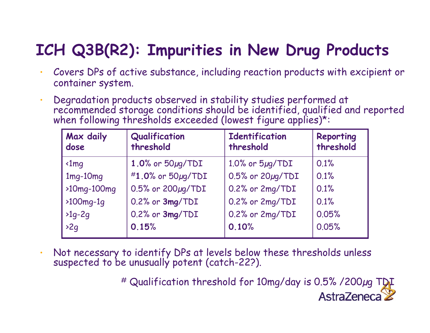## **ICH Q3B(R2): Impurities in New Drug Products**

- Covers DPs of active substance, including reaction products with excipient or container system.
- •Degradation products observed in stability studies performed at recommended storage conditions should be identified, qualified and reported when following thresholds exceeded (lowest figure applies)\*:

| Max daily<br>dose        | Qualification<br>threshold | <b>Identification</b><br>threshold | Reporting<br>threshold |
|--------------------------|----------------------------|------------------------------------|------------------------|
| $\triangleleft$ Imq      | 1.0% or $50 \mu$ g/TDI     | $1.0\%$ or $5\mu q/TDI$            | 0.1%                   |
| $1mg-10mg$               | #1.0% or 50µg/TDI          | $0.5%$ or $20\mu$ g/TDI            | 0.1%                   |
| $\rightarrow$ 10mg-100mg | 0.5% or 200µg/TDI          | 0.2% or 2mg/TDI                    | 0.1%                   |
| $\rightarrow$ 100mg-1q   | 0.2% or 3mg/TDI            | 0.2% or 2mg/TDI                    | 0.1%                   |
| $>1q-2q$                 | 0.2% or 3mg/TDI            | 0.2% or 2mg/TDI                    | 0.05%                  |
| >2q                      | 0.15%                      | 0.10%                              | 0.05%                  |

•Not necessary to identify DPs at levels below these thresholds unless suspected to be unusually potent (catch-22?).

> # Qualification threshold for 10mg/day is 0.5% /200µg TDI AstraZeneca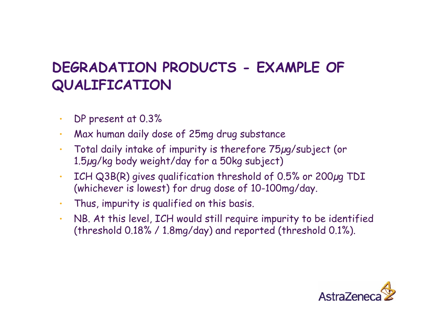#### **DEGRADATION PRODUCTS - EXAMPLE OF QUALIFICATION**

- •DP present at 0.3%
- Max human daily dose of 25mg drug substance
- • Total daily intake of impurity is therefore 75µg/subject (or 1.5µg/kg body weight/day for a 50kg subject)
- • ICH Q3B(R) gives qualification threshold of 0.5% or 200µg TDI (whichever is lowest) for drug dose of 10-100mg/day.
- Thus, impurity is qualified on this basis.
- • NB. At this level, ICH would still require impurity to be identified (threshold 0.18% / 1.8mg/day) and reported (threshold 0.1%).

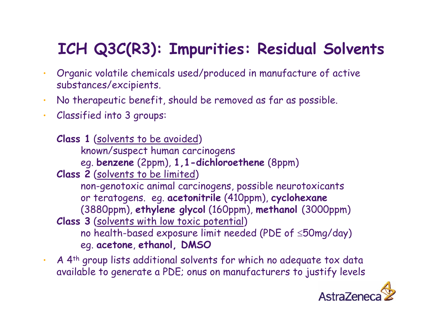## **ICH Q3C(R3): Impurities: Residual Solvents**

- • Organic volatile chemicals used/produced in manufacture of active substances/excipients.
- •No therapeutic benefit, should be removed as far as possible.
- • Classified into 3 groups:
	- **Class 1** (solvents to be avoided ) known/suspect human carcinogens eg. **benzene** (2ppm), **1,1-dichloroethene** (8ppm)
	- **Class 2** (solvents to be limited ) non-genotoxic animal carcinogens, possible neurotoxicants or teratogens. eg. **acetonitrile** (410ppm), **cyclohexane** (3880ppm), **ethylene glycol** (160ppm), **methanol** (3000ppm) **Class 3** (solvents with low toxic potential ) no health-based exposure limit needed (PDE of <sup>≤</sup>50mg/day) eg. **acetone**, **ethanol, DMSO**
- • A 4th group lists additional solvents for which no adequate tox data available to generate a PDE; onus on manufacturers to justify levels

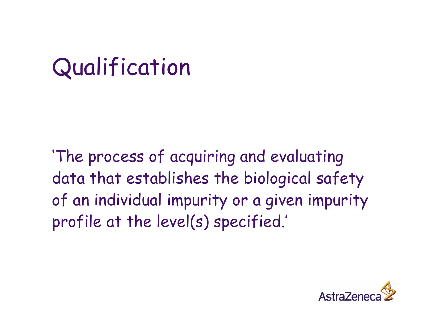# Qualification

'The process of acquiring and evaluating data that establishes the biological safety of an individual impurity or a given impurity profile at the level(s) specified.'

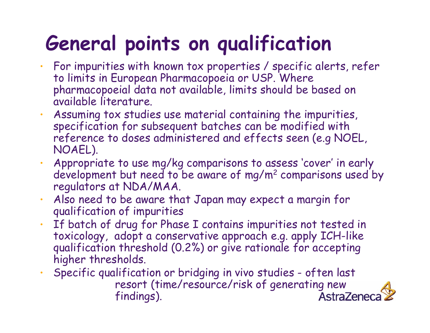# **General points on qualification**

- • For impurities with known tox properties / specific alerts, refer to limits in European Pharmacopoeia or USP. Where pharmacopoeial data not available, limits should be based on available literature.
- • Assuming tox studies use material containing the impurities, specification for subsequent batches can be modified with reference to doses administered and effects seen (e.g NOEL, NOAEL).
- • Appropriate to use mg/kg comparisons to assess 'cover' in early development but need to be aware of mg/m 2 comparisons used by regulators at NDA/MAA.
- • Also need to be aware that Japan may expect a margin for qualification of impurities
- •If batch of drug for Phase I contains impurities not tested in<br>toxicology, adopt a conservative approach e.g. apply ICH-like qualification threshold (0.2%) or give rationale for accepting higher thresholds.
- • Specific qualification or bridging in vivo studies - often last resort (time/resource/risk of generating new<br>findings). AstraZeneca findings).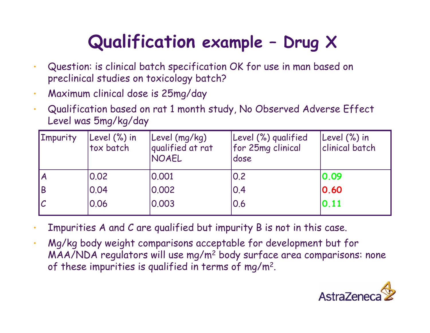# **Qualification example – Drug X**

- • Question: is clinical batch specification OK for use in man based on preclinical studies on toxicology batch?
- •Maximum clinical dose is 25mg/day
- Qualification based on rat 1 month study, No Observed Adverse Effect Level was 5mg/kg/day

| <b>Impurity</b> | Level (%) in<br>tox batch | Level (mg/kg)<br>qualified at rat<br>NOAEL | Level (%) qualified<br>for 25mg clinical<br>dose | Level (%) in<br>clinical batch |
|-----------------|---------------------------|--------------------------------------------|--------------------------------------------------|--------------------------------|
| <b>A</b>        | 0.02                      | 0.001                                      | 0.2                                              | 0.09                           |
| <b>B</b>        | 0.04                      | 0.002                                      | 0.4                                              | 0.60                           |
| IС              | 0.06                      | 0.003                                      | 0.6                                              | 0.11                           |

- Impurities A and C are qualified but impurity B is not in this case.
- • Mg/kg body weight comparisons acceptable for development but for MAA/NDA regulators will use mg/m2 body surface area comparisons: none of these impurities is qualified in terms of mg/m2.

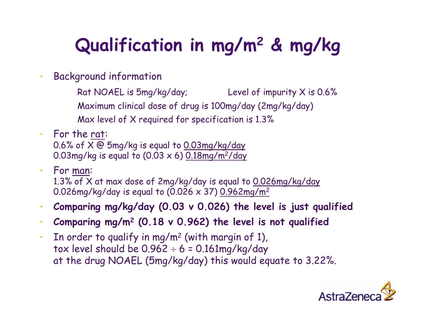# **Qualification in mg/m 2 & mg/kg**

- • Background information
	- Rat NOAEL is 5mg/kg/day; Level of impurity X is 0.6% Maximum clinical dose of drug is 100mg/day (2mg/kg/day) Max level of X required for specification is 1.3%
- • For the rat: 0.6% of X @ 5mg/kg is equal to 0.03mg/kg/day 0.03mg/kg is equal to (0.03 x 6) 0.18mg/m 2/day
- • For man: 1.3% of X at max dose of 2mg/kg/day is equal to 0.026mg/kg/day 0.026mg/kg/day is equal to (0.026 x 37) 0.962mg/m 2
- •**Comparing mg/kg/day (0.03 v 0.026) the level is just qualified**
- •**Comparing mg/m 2 (0.18 v 0.962) the level is not qualified**
- • $\cdot$  In order to qualify in mg/m<sup>2</sup> (with margin of 1), tox level should be 0.962 ÷ 6 = 0.161mg/kg/day at the drug NOAEL (5mg/kg/day) this would equate to 3.22%.

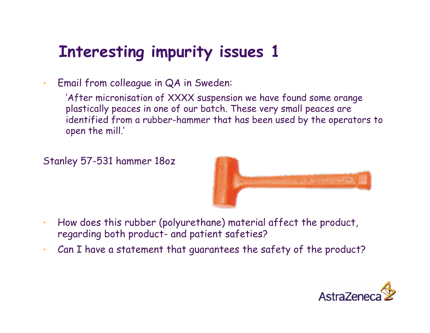## **Interesting impurity issues 1**

•Email from colleague in QA in Sweden:

> 'After micronisation of XXXX suspension we have found some orange plastically peaces in one of our batch. These very small peaces are identified from a rubber-hammer that has been used by the operators to open the mill.'

Stanley 57-531 hammer 18oz



- • How does this rubber (polyurethane) material affect the product, regarding both product- and patient safeties?
- •Can I have a statement that guarantees the safety of the product?

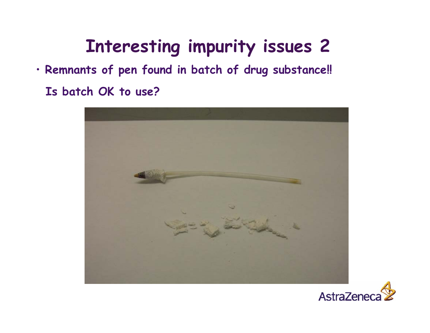# **Interesting impurity issues 2**

• **Remnants of pen found in batch of drug substance!! Is batch OK to use?**



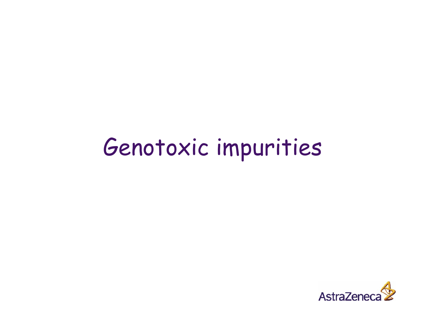# Genotoxic impurities

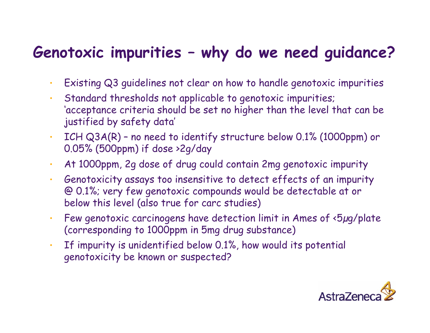## **Genotoxic impurities – why do we need guidance?**

- •Existing Q3 guidelines not clear on how to handle genotoxic impurities
- • Standard thresholds not applicable to genotoxic impurities; 'acceptance criteria should be set no higher than the level that can be justified by safety data'
- • ICH Q3A(R) – no need to identify structure below 0.1% (1000ppm) or 0.05% (500ppm) if dose >2g/day
- •At 1000ppm, 2g dose of drug could contain 2mg genotoxic impurity
- • Genotoxicity assays too insensitive to detect effects of an impurity @ 0.1%; very few genotoxic compounds would be detectable at or below this level (also true for carc studies)
- • Few genotoxic carcinogens have detection limit in Ames of <5µg/plate (corresponding to 1000ppm in 5mg drug substance)
- • If impurity is unidentified below 0.1%, how would its potential genotoxicity be known or suspected?

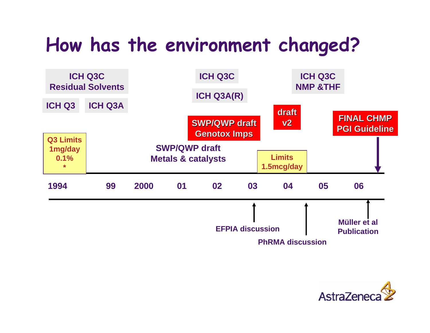# **How has the environment changed?**



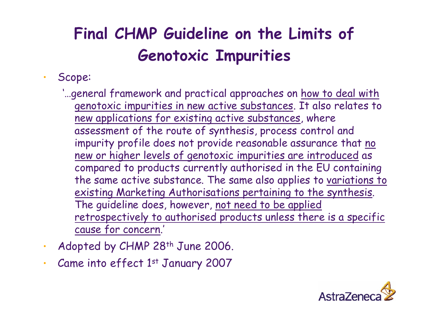## **Final CHMP Guideline on the Limits of Genotoxic Impurities**

#### •Scope:

- '…general framework and practical approaches on how to deal with genotoxic impurities in new active substances. It also relates to new applications for existing active substances, where assessment of the route of synthesis, process control and impurity profile does not provide reasonable assurance that no new or higher levels of genotoxic impurities are introduced as compared to products currently authorised in the EU containing the same active substance. The same also applies to variations to existing Marketing Authorisations pertaining to the synthesis. The guideline does, however, not need to be applied retrospectively to authorised products unless there is a specific cause for concern.'
- •Adopted by CHMP 28<sup>th</sup> June 2006.
- •Came into effect 1st January 2007

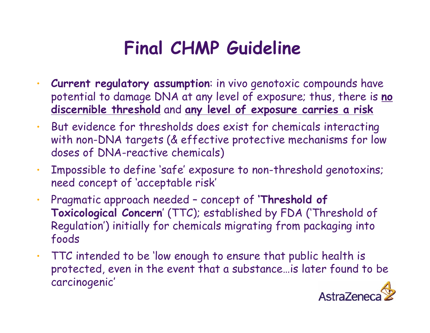# **Final CHMP Guideline**

- • **Current regulatory assumption**: in vivo genotoxic compounds have potential to damage DNA at any level of exposure; thus, there is **no discernible threshold** and **any level of exposure carries a risk**
- • But evidence for thresholds does exist for chemicals interacting with non-DNA targets (& effective protective mechanisms for low doses of DNA-reactive chemicals)
- • Impossible to define 'safe' exposure to non-threshold genotoxins; need concept of 'acceptable risk'
- • Pragmatic approach needed – concept of **'Threshold of Toxicological Concern**' (TTC); established by FDA ('Threshold of Regulation') initially for chemicals migrating from packaging into foods
- TTC intended to be 'low enough to ensure that public health is protected, even in the event that a substance…is later found to be carcinogenic'

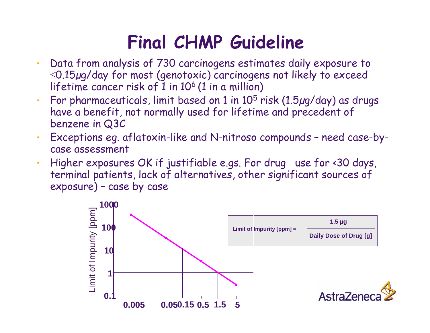# Draft CHMP Guideline **Final CHMP Guideline**

- • Data from analysis of 730 carcinogens estimates daily exposure to <sup>≤</sup>0.15µg/day for most (genotoxic) carcinogens not likely to exceed lifetime cancer risk of  $1$  in 10<sup>6</sup> (1 in a million)
- •For pharmaceuticals, limit based on  $1$  in  $10^5$  risk ( $1.5\mu g$ /day) as drugs have a benefit, not normally used for lifetime and precedent of benzene in Q3C
- • Exceptions eg. aflatoxin-like and N-nitroso compounds – need case-bycase assessment
- • Higher exposures OK if justifiable e.gs. For drug use for <30 days, terminal patients, lack of alternatives, other significant sources of exposure) – case by case

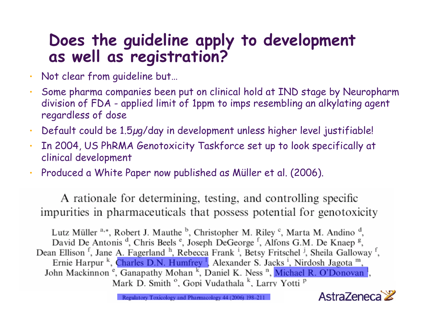# **Does the guideline apply to development as well as registration?**

- •Not clear from guideline but…
- Some pharma companies been put on clinical hold at IND stage by Neuropharm division of FDA - applied limit of 1ppm to imps resembling an alkylating agen<sup>t</sup> regardless of dose
- Default could be 1.5µg/day in development unless higher level justifiable!
- In 2004, US PhRMA Genotoxicity Taskforce set up to look specifically at clinical development
- Produced a White Paper now published as Müller et al. (2006).

A rationale for determining, testing, and controlling specific impurities in pharmaceuticals that possess potential for genotoxicity

Lutz Müller <sup>a,\*</sup>, Robert J. Mauthe <sup>b</sup>, Christopher M. Riley <sup>c</sup>, Marta M. Andino <sup>d</sup>, David De Antonis<sup>d</sup>, Chris Beels<sup>e</sup>, Joseph DeGeorge<sup>f</sup>, Alfons G.M. De Knaep<sup>g</sup>, Dean Ellison<sup>f</sup>, Jane A. Fagerland<sup>h</sup>, Rebecca Frank<sup>i</sup>, Betsy Fritschel<sup>j</sup>, Sheila Galloway<sup>f</sup>, Ernie Harpur<sup>k</sup>, Charles D.N. Humfrey<sup>1</sup>, Alexander S. Jacks<sup>1</sup>, Nirdosh Jagota<sup>m</sup>, John Mackinnon<sup>e</sup>, Ganapathy Mohan<sup>k</sup>, Daniel K. Ness<sup>n</sup>, Michael R. O'Donovan<sup>1</sup>, Mark D. Smith<sup>o</sup>, Gopi Vudathala<sup>k</sup>, Larry Yotti<sup>p</sup>



Regulatory Toxicology and Pharmacology 44 (2006) 198-21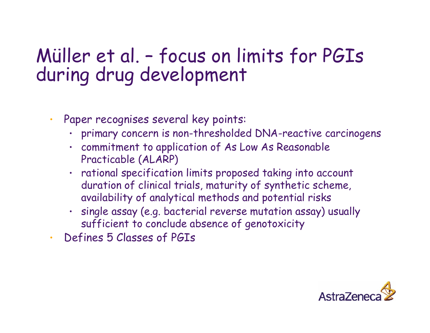# Müller et al. – focus on limits for PGIs during drug development

- • Paper recognises several key points:
	- primary concern is non-thresholded DNA-reactive carcinogens
	- commitment to application of As Low As Reasonable Practicable (ALARP)
	- rational specification limits proposed taking into account duration of clinical trials, maturity of synthetic scheme, availability of analytical methods and potential risks
	- single assay (e.g. bacterial reverse mutation assay) usually sufficient to conclude absence of genotoxicity
- •Defines 5 Classes of PGIs

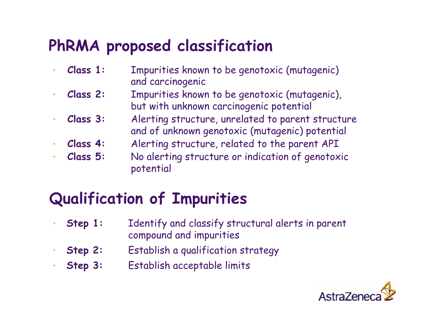## **PhRMA proposed classification**

- **Class 1:** Impurities known to be genotoxic (mutagenic) and carcinogenic
- • **Class 2:** Impurities known to be genotoxic (mutagenic), but with unknown carcinogenic potential
- • **Class 3:** Alerting structure, unrelated to parent structure and of unknown genotoxic (mutagenic) potential
	- **Class 4:** Alerting structure, related to the parent API
- **Class 5:** No alerting structure or indication of genotoxic potential

## **Qualification of Impurities**

- • **Step 1:** Identify and classify structural alerts in parent compound and impurities
- **Step 2:** Establish a qualification strategy
- **Step 3:** Establish acceptable limits

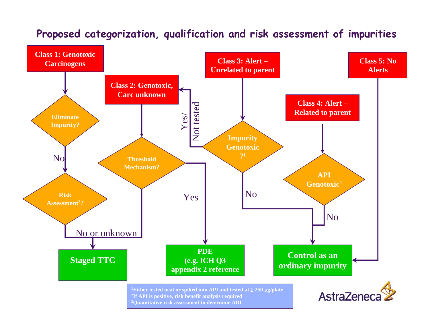#### **Proposed categorization, qualification and risk assessment of impurities**

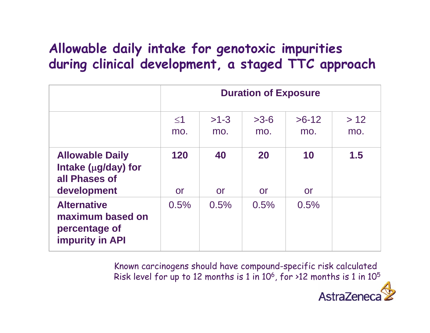#### **Allowable daily intake for genotoxic impurities during clinical development, a staged TTC approach**

|                                                                                     | <b>Duration of Exposure</b> |                 |                 |                |             |
|-------------------------------------------------------------------------------------|-----------------------------|-----------------|-----------------|----------------|-------------|
|                                                                                     | $\leq$ 1<br>mo.             | $>1-3$<br>mo.   | $>3-6$<br>mo.   | $>6-12$<br>mo. | > 12<br>mo. |
| <b>Allowable Daily</b><br>Intake ( $\mu$ g/day) for<br>all Phases of<br>development | 120<br><b>or</b>            | 40<br><b>or</b> | <b>20</b><br>or | 10<br>or       | 1.5         |
| <b>Alternative</b><br>maximum based on<br>percentage of<br><b>impurity in API</b>   | 0.5%                        | 0.5%            | 0.5%            | 0.5%           |             |

Known carcinogens should have compound-specific risk calculated Risk level for up to 12 months is 1 in 10<sup>6</sup>, for >12 months is 1 in 10<sup>5</sup>

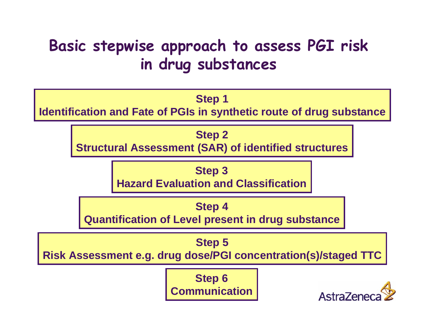## **Basic stepwise approach to assess PGI risk in drug substances**

#### **Step 1**

**Identification and Fate of PGIs in synthetic route of drug substance**

#### **Step 2**

**Structural Assessment (SAR) of identified structures**

#### **Step 3**

**Hazard Evaluation and Classification**

#### **Step 4**

**Quantification of Level present in drug substance**

#### **Step 5**

**Risk Assessment e.g. drug dose/PGI concentration(s)/staged TTC**

**Step 6 Communication**

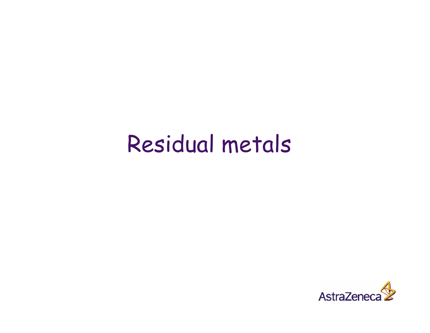# Residual metals

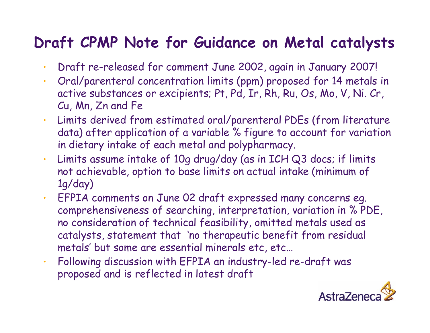### **Draft CPMP Note for Guidance on Metal catalysts**

- •Draft re-released for comment June 2002, again in January 2007!
- • Oral/parenteral concentration limits (ppm) proposed for 14 metals in active substances or excipients; Pt, Pd, Ir, Rh, Ru, Os, Mo, V, Ni. Cr, Cu, Mn, Zn and Fe
- • Limits derived from estimated oral/parenteral PDEs (from literature data) after application of a variable % figure to account for variation in dietary intake of each metal and polypharmacy.
- • Limits assume intake of 10g drug/day (as in ICH Q3 docs; if limits not achievable, option to base limits on actual intake (minimum of 1g/day)
- • EFPIA comments on June 02 draft expressed many concerns eg. comprehensiveness of searching, interpretation, variation in % PDE, no consideration of technical feasibility, omitted metals used as catalysts, statement that 'no therapeutic benefit from residual metals' but some are essential minerals etc, etc…
- • Following discussion with EFPIA an industry-led re-draft was proposed and is reflected in latest draft

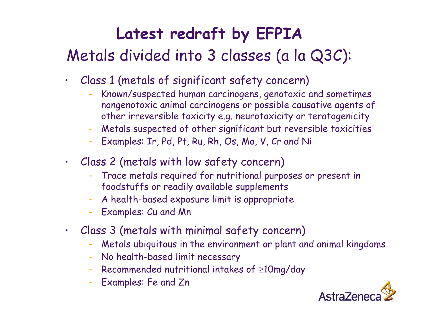# **Latest redraft by EFPIA** Metals divided into 3 classes (a la Q3C):

- Class 1 (metals of significant safety concern)
	- Known/suspected human carcinogens, genotoxic and sometimes nongenotoxic animal carcinogens or possible causative agents of other irreversible toxicity e.g. neurotoxicity or teratogenicity
	- $\ddot{\phantom{0}}$ Metals suspected of other significant but reversible toxicities
	- Examples: Ir, Pd, Pt, Ru, Rh, Os, Mo, V, Cr and Ni
- Class 2 (metals with low safety concern)
	- Trace metals required for nutritional purposes or present in foodstuffs or readily available supplements
	- $\rightarrow$ A health-based exposure limit is appropriate
	- Examples: Cu and Mn
- • Class 3 (metals with minimal safety concern)
	- Metals ubiquitous in the environment or plant and animal kingdoms
	- No health-based limit necessary
	- Recommended nutritional intakes of <sup>≥</sup>10mg/day
	- Examples: Fe and Zn

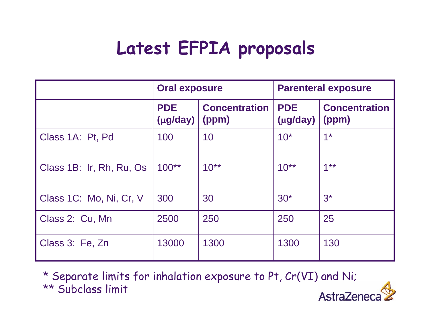# **Latest EFPIA proposals**

|                          | <b>Oral exposure</b>        |                               | <b>Parenteral exposure</b>  |                               |
|--------------------------|-----------------------------|-------------------------------|-----------------------------|-------------------------------|
|                          | <b>PDE</b><br>$(\mu$ g/day) | <b>Concentration</b><br>(ppm) | <b>PDE</b><br>$(\mu$ g/day) | <b>Concentration</b><br>(ppm) |
| Class 1A: Pt, Pd         | 100                         | 10                            | $10*$                       | $1*$                          |
| Class 1B: Ir, Rh, Ru, Os | $100**$                     | $10^{**}$                     | $10^{**}$                   | $1***$                        |
| Class 1C: Mo, Ni, Cr, V  | 300                         | 30                            | $30*$                       | $3^*$                         |
| Class 2: Cu, Mn          | 2500                        | 250                           | 250                         | 25                            |
| Class 3: Fe, Zn          | 13000                       | 1300                          | 1300                        | 130                           |

\* Separate limits for inhalation exposure to Pt, Cr(VI) and Ni; \*\* Subclass limit AstraZene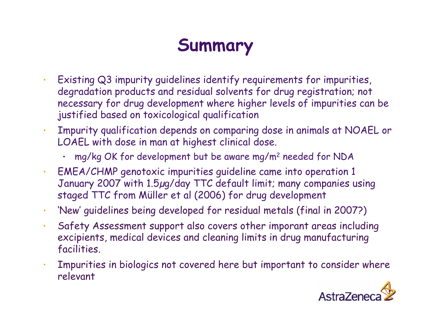# **Summary**

- • Existing Q3 impurity guidelines identify requirements for impurities, degradation products and residual solvents for drug registration; not necessary for drug development where higher levels of impurities can be justified based on toxicological qualification
- • Impurity qualification depends on comparing dose in animals at NOAEL or LOAEL with dose in man at highest clinical dose.
	- •mg/kg OK for development but be aware mg/m2 needed for NDA
- • EMEA/CHMP genotoxic impurities guideline came into operation 1 January 2007 with 1.5µg/day TTC default limit; many companies using staged TTC from Müller et al (2006) for drug development
- •'New' guidelines being developed for residual metals (final in 2007?)
- • Safety Assessment support also covers other imporant areas including excipients, medical devices and cleaning limits in drug manufacturing facilities.
- Impurities in biologics not covered here but important to consider where relevant

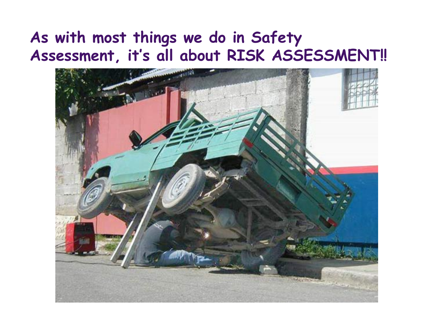#### **As with most things we do in Safety Assessment, it's all about RISK ASSESSMENT!!**

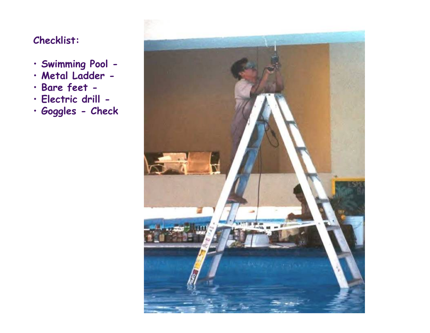#### **Checklist:**

- **Swimming Pool -**
- **Metal Ladder -**
- **Bare feet -**
- **Electric drill -**
- **Goggles - Check**